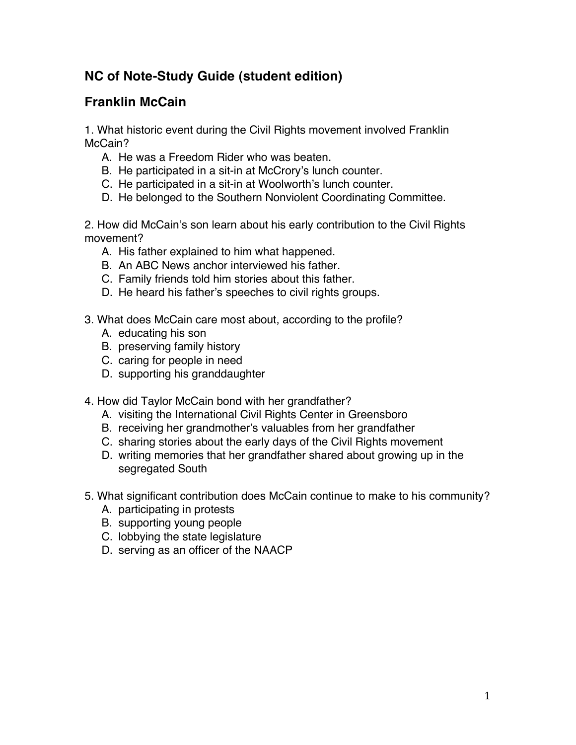## **NC of Note-Study Guide (student edition)**

## **Franklin McCain**

1. What historic event during the Civil Rights movement involved Franklin McCain?

- A. He was a Freedom Rider who was beaten.
- B. He participated in a sit-in at McCrory's lunch counter.
- C. He participated in a sit-in at Woolworth's lunch counter.
- D. He belonged to the Southern Nonviolent Coordinating Committee.

2. How did McCain's son learn about his early contribution to the Civil Rights movement?

- A. His father explained to him what happened.
- B. An ABC News anchor interviewed his father.
- C. Family friends told him stories about this father.
- D. He heard his father's speeches to civil rights groups.
- 3. What does McCain care most about, according to the profile?
	- A. educating his son
	- B. preserving family history
	- C. caring for people in need
	- D. supporting his granddaughter
- 4. How did Taylor McCain bond with her grandfather?
	- A. visiting the International Civil Rights Center in Greensboro
	- B. receiving her grandmother's valuables from her grandfather
	- C. sharing stories about the early days of the Civil Rights movement
	- D. writing memories that her grandfather shared about growing up in the segregated South
- 5. What significant contribution does McCain continue to make to his community?
	- A. participating in protests
	- B. supporting young people
	- C. lobbying the state legislature
	- D. serving as an officer of the NAACP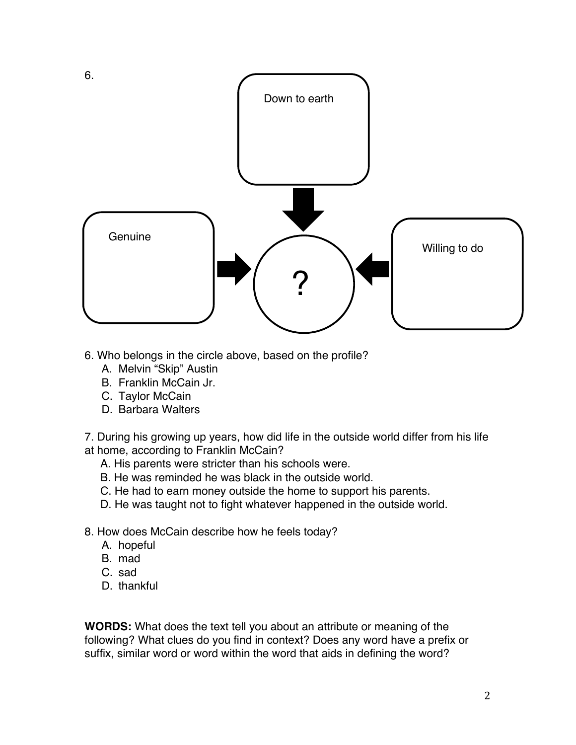

- 6. Who belongs in the circle above, based on the profile?
	- A. Melvin "Skip" Austin
	- B. Franklin McCain Jr.
	- C. Taylor McCain
	- D. Barbara Walters

7. During his growing up years, how did life in the outside world differ from his life at home, according to Franklin McCain?

- A. His parents were stricter than his schools were.
- B. He was reminded he was black in the outside world.
- C. He had to earn money outside the home to support his parents.
- D. He was taught not to fight whatever happened in the outside world.
- 8. How does McCain describe how he feels today?
	- A. hopeful
	- B. mad
	- C. sad
	- D. thankful

**WORDS:** What does the text tell you about an attribute or meaning of the following? What clues do you find in context? Does any word have a prefix or suffix, similar word or word within the word that aids in defining the word?